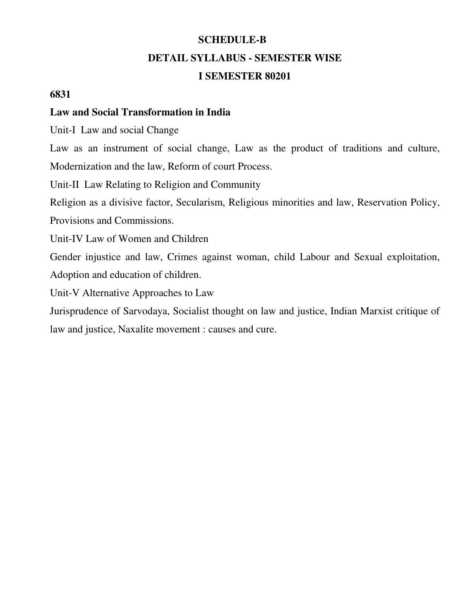# **SCHEDULE-B DETAIL SYLLABUS - SEMESTER WISE**

#### **I SEMESTER 80201**

#### **6831**

#### **Law and Social Transformation in India**

Unit-I Law and social Change

Law as an instrument of social change, Law as the product of traditions and culture, Modernization and the law, Reform of court Process.

Unit-II Law Relating to Religion and Community

Religion as a divisive factor, Secularism, Religious minorities and law, Reservation Policy,

Provisions and Commissions.

Unit-IV Law of Women and Children

Gender injustice and law, Crimes against woman, child Labour and Sexual exploitation, Adoption and education of children.

Unit-V Alternative Approaches to Law

Jurisprudence of Sarvodaya, Socialist thought on law and justice, Indian Marxist critique of law and justice, Naxalite movement : causes and cure.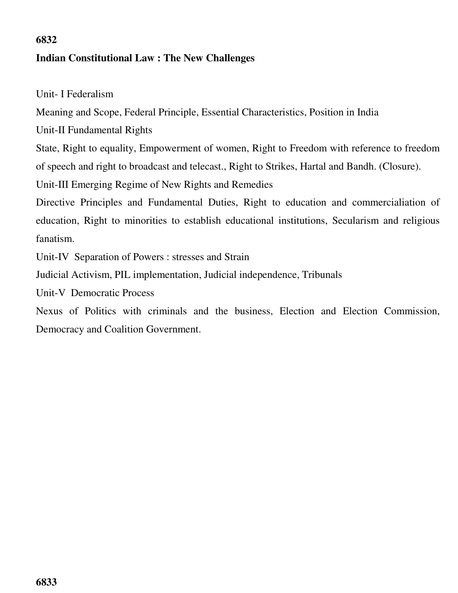# **6832 Indian Constitutional Law : The New Challenges**

Unit- I Federalism

Meaning and Scope, Federal Principle, Essential Characteristics, Position in India

Unit-II Fundamental Rights

State, Right to equality, Empowerment of women, Right to Freedom with reference to freedom of speech and right to broadcast and telecast., Right to Strikes, Hartal and Bandh. (Closure).

Unit-III Emerging Regime of New Rights and Remedies

Directive Principles and Fundamental Duties, Right to education and commercialiation of education, Right to minorities to establish educational institutions, Secularism and religious fanatism.

Unit-IV Separation of Powers : stresses and Strain

Judicial Activism, PIL implementation, Judicial independence, Tribunals

Unit-V Democratic Process

Nexus of Politics with criminals and the business, Election and Election Commission, Democracy and Coalition Government.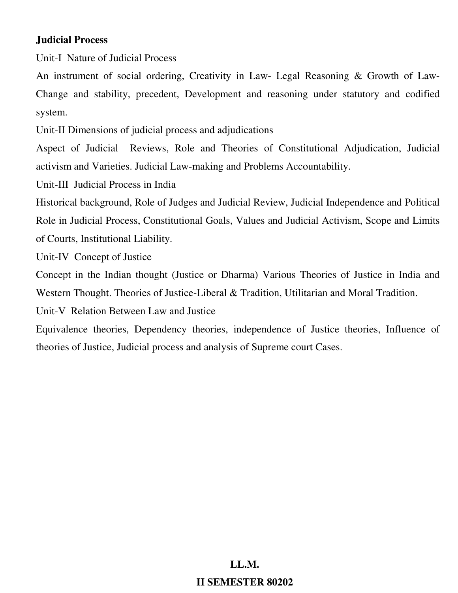#### **Judicial Process**

Unit-I Nature of Judicial Process

An instrument of social ordering, Creativity in Law- Legal Reasoning & Growth of Law-Change and stability, precedent, Development and reasoning under statutory and codified system.

Unit-II Dimensions of judicial process and adjudications

Aspect of Judicial Reviews, Role and Theories of Constitutional Adjudication, Judicial activism and Varieties. Judicial Law-making and Problems Accountability.

Unit-III Judicial Process in India

Historical background, Role of Judges and Judicial Review, Judicial Independence and Political Role in Judicial Process, Constitutional Goals, Values and Judicial Activism, Scope and Limits of Courts, Institutional Liability.

Unit-IV Concept of Justice

Concept in the Indian thought (Justice or Dharma) Various Theories of Justice in India and Western Thought. Theories of Justice-Liberal & Tradition, Utilitarian and Moral Tradition.

Unit-V Relation Between Law and Justice

Equivalence theories, Dependency theories, independence of Justice theories, Influence of theories of Justice, Judicial process and analysis of Supreme court Cases.

# **LL.M. II SEMESTER 80202**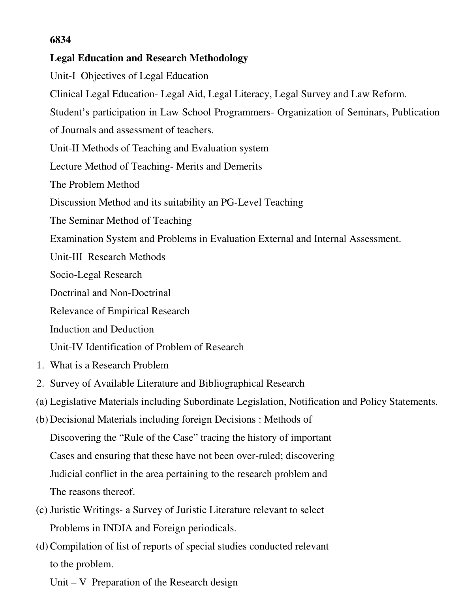#### **6834**

#### **Legal Education and Research Methodology**

Unit-I Objectives of Legal Education Clinical Legal Education- Legal Aid, Legal Literacy, Legal Survey and Law Reform. Student's participation in Law School Programmers- Organization of Seminars, Publication of Journals and assessment of teachers. Unit-II Methods of Teaching and Evaluation system Lecture Method of Teaching- Merits and Demerits The Problem Method Discussion Method and its suitability an PG-Level Teaching The Seminar Method of Teaching Examination System and Problems in Evaluation External and Internal Assessment. Unit-III Research Methods Socio-Legal Research Doctrinal and Non-Doctrinal Relevance of Empirical Research Induction and Deduction Unit-IV Identification of Problem of Research 1. What is a Research Problem 2. Survey of Available Literature and Bibliographical Research (a) Legislative Materials including Subordinate Legislation, Notification and Policy Statements. (b) Decisional Materials including foreign Decisions : Methods of Discovering the "Rule of the Case" tracing the history of important Cases and ensuring that these have not been over-ruled; discovering Judicial conflict in the area pertaining to the research problem and The reasons thereof.

- (c) Juristic Writings- a Survey of Juristic Literature relevant to select Problems in INDIA and Foreign periodicals.
- (d)Compilation of list of reports of special studies conducted relevant to the problem.

Unit – V Preparation of the Research design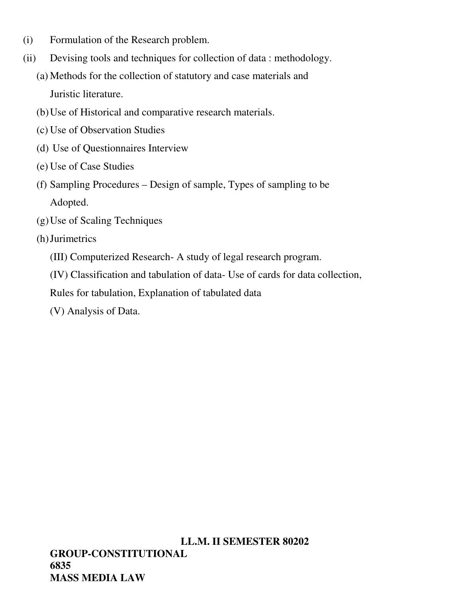- (i) Formulation of the Research problem.
- (ii) Devising tools and techniques for collection of data : methodology.
	- (a) Methods for the collection of statutory and case materials and Juristic literature.
	- (b)Use of Historical and comparative research materials.
	- (c) Use of Observation Studies
	- (d) Use of Questionnaires Interview
	- (e) Use of Case Studies
	- (f) Sampling Procedures Design of sample, Types of sampling to be Adopted.
	- (g)Use of Scaling Techniques
	- (h)Jurimetrics
		- (III) Computerized Research- A study of legal research program.
		- (IV) Classification and tabulation of data- Use of cards for data collection,
		- Rules for tabulation, Explanation of tabulated data
		- (V) Analysis of Data.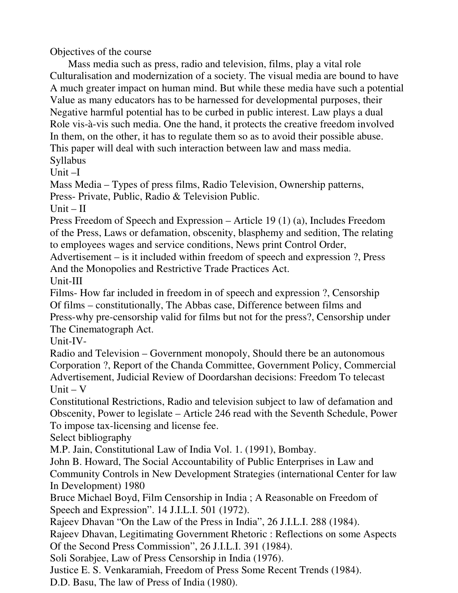Objectives of the course

 Mass media such as press, radio and television, films, play a vital role Culturalisation and modernization of a society. The visual media are bound to have A much greater impact on human mind. But while these media have such a potential Value as many educators has to be harnessed for developmental purposes, their Negative harmful potential has to be curbed in public interest. Law plays a dual Role vis-à-vis such media. One the hand, it protects the creative freedom involved In them, on the other, it has to regulate them so as to avoid their possible abuse. This paper will deal with such interaction between law and mass media. Syllabus

Unit –I

Mass Media – Types of press films, Radio Television, Ownership patterns, Press- Private, Public, Radio & Television Public.

 $Unit - II$ 

Press Freedom of Speech and Expression – Article 19 (1) (a), Includes Freedom of the Press, Laws or defamation, obscenity, blasphemy and sedition, The relating to employees wages and service conditions, News print Control Order,

Advertisement – is it included within freedom of speech and expression ?, Press And the Monopolies and Restrictive Trade Practices Act.

Unit-III

Films- How far included in freedom in of speech and expression ?, Censorship Of films – constitutionally, The Abbas case, Difference between films and Press-why pre-censorship valid for films but not for the press?, Censorship under The Cinematograph Act.

Unit-IV-

Radio and Television – Government monopoly, Should there be an autonomous Corporation ?, Report of the Chanda Committee, Government Policy, Commercial Advertisement, Judicial Review of Doordarshan decisions: Freedom To telecast  $Unit - V$ 

Constitutional Restrictions, Radio and television subject to law of defamation and Obscenity, Power to legislate – Article 246 read with the Seventh Schedule, Power To impose tax-licensing and license fee.

Select bibliography

M.P. Jain, Constitutional Law of India Vol. 1. (1991), Bombay.

John B. Howard, The Social Accountability of Public Enterprises in Law and Community Controls in New Development Strategies (international Center for law In Development) 1980

Bruce Michael Boyd, Film Censorship in India ; A Reasonable on Freedom of Speech and Expression". 14 J.I.L.I. 501 (1972).

Rajeev Dhavan "On the Law of the Press in India", 26 J.I.L.I. 288 (1984).

Rajeev Dhavan, Legitimating Government Rhetoric : Reflections on some Aspects Of the Second Press Commission", 26 J.I.L.I. 391 (1984).

Soli Sorabjee, Law of Press Censorship in India (1976).

Justice E. S. Venkaramiah, Freedom of Press Some Recent Trends (1984).

D.D. Basu, The law of Press of India (1980).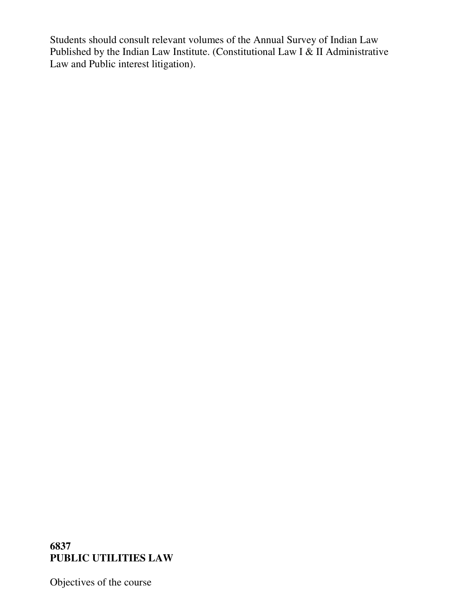Students should consult relevant volumes of the Annual Survey of Indian Law Published by the Indian Law Institute. (Constitutional Law I  $\&$  II Administrative Law and Public interest litigation).

#### **6837 PUBLIC UTILITIES LAW**

Objectives of the course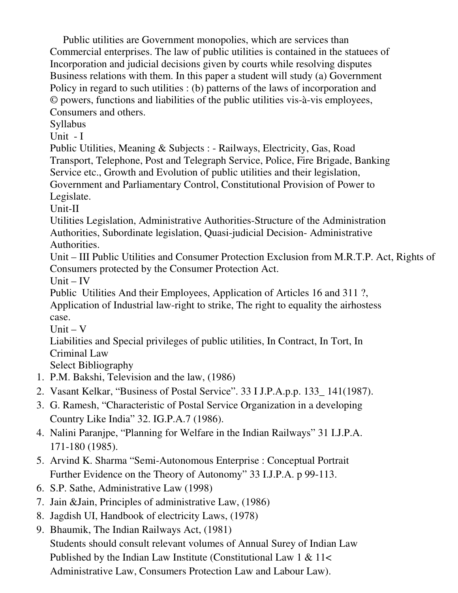Public utilities are Government monopolies, which are services than Commercial enterprises. The law of public utilities is contained in the statuees of Incorporation and judicial decisions given by courts while resolving disputes Business relations with them. In this paper a student will study (a) Government Policy in regard to such utilities : (b) patterns of the laws of incorporation and © powers, functions and liabilities of the public utilities vis-à-vis employees, Consumers and others.

Syllabus

Unit - I

Public Utilities, Meaning & Subjects : - Railways, Electricity, Gas, Road Transport, Telephone, Post and Telegraph Service, Police, Fire Brigade, Banking Service etc., Growth and Evolution of public utilities and their legislation, Government and Parliamentary Control, Constitutional Provision of Power to Legislate.

Unit-II

Utilities Legislation, Administrative Authorities-Structure of the Administration Authorities, Subordinate legislation, Quasi-judicial Decision- Administrative Authorities.

Unit – III Public Utilities and Consumer Protection Exclusion from M.R.T.P. Act, Rights of Consumers protected by the Consumer Protection Act.

 $Unit - IV$ 

Public Utilities And their Employees, Application of Articles 16 and 311 ?, Application of Industrial law-right to strike, The right to equality the airhostess case.

Unit  $-V$ 

Liabilities and Special privileges of public utilities, In Contract, In Tort, In Criminal Law

Select Bibliography

- 1. P.M. Bakshi, Television and the law, (1986)
- 2. Vasant Kelkar, "Business of Postal Service". 33 I J.P.A.p.p. 133\_ 141(1987).
- 3. G. Ramesh, "Characteristic of Postal Service Organization in a developing Country Like India" 32. IG.P.A.7 (1986).
- 4. Nalini Paranjpe, "Planning for Welfare in the Indian Railways" 31 I.J.P.A. 171-180 (1985).
- 5. Arvind K. Sharma "Semi-Autonomous Enterprise : Conceptual Portrait Further Evidence on the Theory of Autonomy" 33 I.J.P.A. p 99-113.
- 6. S.P. Sathe, Administrative Law (1998)
- 7. Jain &Jain, Principles of administrative Law, (1986)
- 8. Jagdish UI, Handbook of electricity Laws, (1978)
- 9. Bhaumik, The Indian Railways Act, (1981) Students should consult relevant volumes of Annual Surey of Indian Law Published by the Indian Law Institute (Constitutional Law 1 & 11< Administrative Law, Consumers Protection Law and Labour Law).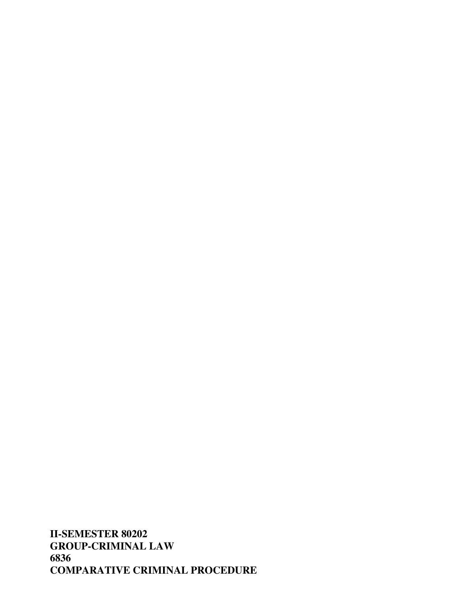**II-SEMESTER 80202 GROUP-CRIMINAL LAW 6836 COMPARATIVE CRIMINAL PROCEDURE**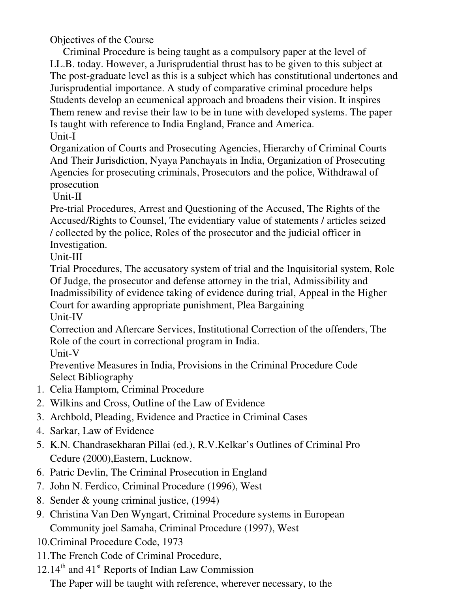Objectives of the Course

 Criminal Procedure is being taught as a compulsory paper at the level of LL.B. today. However, a Jurisprudential thrust has to be given to this subject at The post-graduate level as this is a subject which has constitutional undertones and Jurisprudential importance. A study of comparative criminal procedure helps Students develop an ecumenical approach and broadens their vision. It inspires Them renew and revise their law to be in tune with developed systems. The paper Is taught with reference to India England, France and America. Unit-I

Organization of Courts and Prosecuting Agencies, Hierarchy of Criminal Courts And Their Jurisdiction, Nyaya Panchayats in India, Organization of Prosecuting Agencies for prosecuting criminals, Prosecutors and the police, Withdrawal of prosecution

Unit-II

Pre-trial Procedures, Arrest and Questioning of the Accused, The Rights of the Accused/Rights to Counsel, The evidentiary value of statements / articles seized / collected by the police, Roles of the prosecutor and the judicial officer in Investigation.

Unit-III

Trial Procedures, The accusatory system of trial and the Inquisitorial system, Role Of Judge, the prosecutor and defense attorney in the trial, Admissibility and Inadmissibility of evidence taking of evidence during trial, Appeal in the Higher Court for awarding appropriate punishment, Plea Bargaining

Unit-IV

Correction and Aftercare Services, Institutional Correction of the offenders, The Role of the court in correctional program in India.

Unit-V

Preventive Measures in India, Provisions in the Criminal Procedure Code Select Bibliography

- 1. Celia Hamptom, Criminal Procedure
- 2. Wilkins and Cross, Outline of the Law of Evidence
- 3. Archbold, Pleading, Evidence and Practice in Criminal Cases
- 4. Sarkar, Law of Evidence
- 5. K.N. Chandrasekharan Pillai (ed.), R.V.Kelkar's Outlines of Criminal Pro Cedure (2000),Eastern, Lucknow.
- 6. Patric Devlin, The Criminal Prosecution in England
- 7. John N. Ferdico, Criminal Procedure (1996), West
- 8. Sender & young criminal justice, (1994)
- 9. Christina Van Den Wyngart, Criminal Procedure systems in European Community joel Samaha, Criminal Procedure (1997), West
- 10.Criminal Procedure Code, 1973
- 11.The French Code of Criminal Procedure,
- $12.14<sup>th</sup>$  and  $41<sup>st</sup>$  Reports of Indian Law Commission

The Paper will be taught with reference, wherever necessary, to the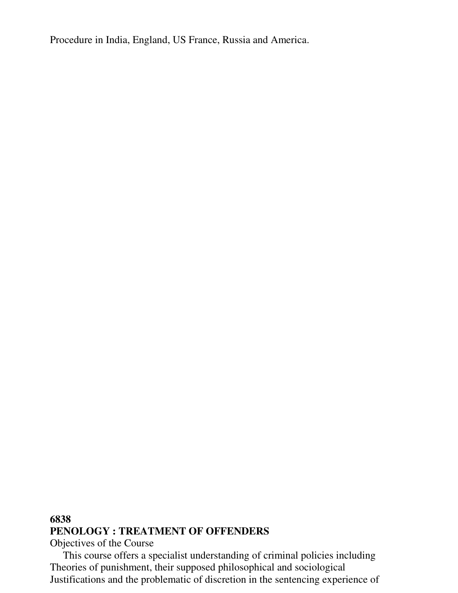Procedure in India, England, US France, Russia and America.

## **6838 PENOLOGY : TREATMENT OF OFFENDERS**

Objectives of the Course

 This course offers a specialist understanding of criminal policies including Theories of punishment, their supposed philosophical and sociological Justifications and the problematic of discretion in the sentencing experience of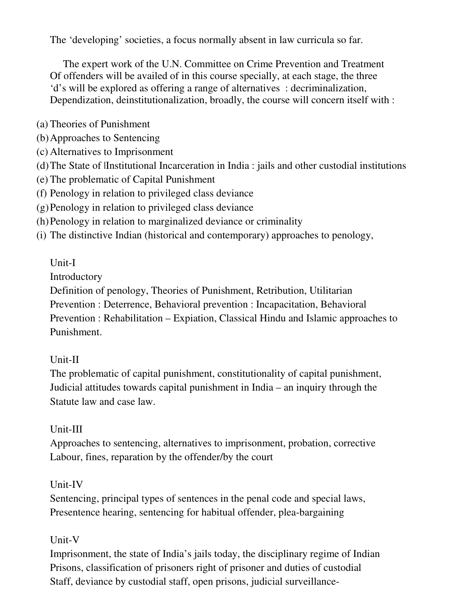The 'developing' societies, a focus normally absent in law curricula so far.

 The expert work of the U.N. Committee on Crime Prevention and Treatment Of offenders will be availed of in this course specially, at each stage, the three 'd's will be explored as offering a range of alternatives : decriminalization, Dependization, deinstitutionalization, broadly, the course will concern itself with :

(a) Theories of Punishment

(b)Approaches to Sentencing

(c) Alternatives to Imprisonment

(d)The State of |Institutional Incarceration in India : jails and other custodial institutions

- (e) The problematic of Capital Punishment
- (f) Penology in relation to privileged class deviance
- (g)Penology in relation to privileged class deviance
- (h)Penology in relation to marginalized deviance or criminality
- (i) The distinctive Indian (historical and contemporary) approaches to penology,

# Unit-I

Introductory

Definition of penology, Theories of Punishment, Retribution, Utilitarian

Prevention : Deterrence, Behavioral prevention : Incapacitation, Behavioral

Prevention : Rehabilitation – Expiation, Classical Hindu and Islamic approaches to Punishment.

# Unit-II

The problematic of capital punishment, constitutionality of capital punishment, Judicial attitudes towards capital punishment in India – an inquiry through the Statute law and case law.

# Unit-III

Approaches to sentencing, alternatives to imprisonment, probation, corrective Labour, fines, reparation by the offender/by the court

# Unit-IV

Sentencing, principal types of sentences in the penal code and special laws, Presentence hearing, sentencing for habitual offender, plea-bargaining

# Unit-V

Imprisonment, the state of India's jails today, the disciplinary regime of Indian Prisons, classification of prisoners right of prisoner and duties of custodial Staff, deviance by custodial staff, open prisons, judicial surveillance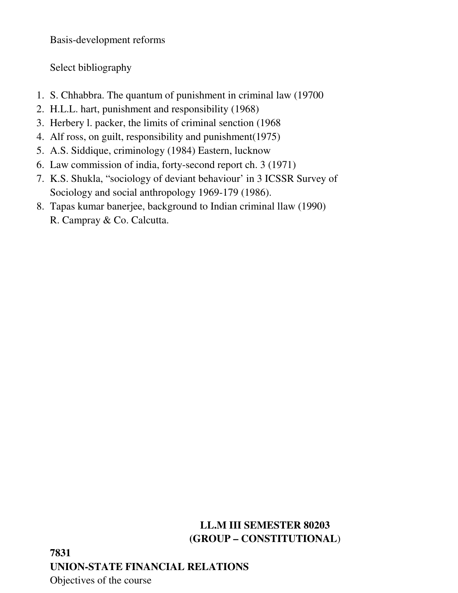Basis-development reforms

Select bibliography

- 1. S. Chhabbra. The quantum of punishment in criminal law (19700
- 2. H.L.L. hart, punishment and responsibility (1968)
- 3. Herbery l. packer, the limits of criminal senction (1968
- 4. Alf ross, on guilt, responsibility and punishment(1975)
- 5. A.S. Siddique, criminology (1984) Eastern, lucknow
- 6. Law commission of india, forty-second report ch. 3 (1971)
- 7. K.S. Shukla, "sociology of deviant behaviour' in 3 ICSSR Survey of Sociology and social anthropology 1969-179 (1986).
- 8. Tapas kumar banerjee, background to Indian criminal llaw (1990) R. Campray & Co. Calcutta.

# **LL.M III SEMESTER 80203 (GROUP – CONSTITUTIONAL**)

**7831 UNION-STATE FINANCIAL RELATIONS**  Objectives of the course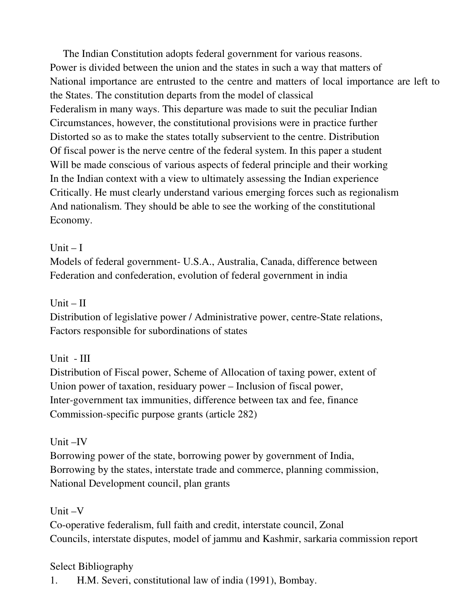The Indian Constitution adopts federal government for various reasons. Power is divided between the union and the states in such a way that matters of National importance are entrusted to the centre and matters of local importance are left to the States. The constitution departs from the model of classical Federalism in many ways. This departure was made to suit the peculiar Indian Circumstances, however, the constitutional provisions were in practice further Distorted so as to make the states totally subservient to the centre. Distribution Of fiscal power is the nerve centre of the federal system. In this paper a student Will be made conscious of various aspects of federal principle and their working In the Indian context with a view to ultimately assessing the Indian experience Critically. He must clearly understand various emerging forces such as regionalism And nationalism. They should be able to see the working of the constitutional Economy.

#### Unit  $-I$

Models of federal government- U.S.A., Australia, Canada, difference between Federation and confederation, evolution of federal government in india

## Unit  $-$  II

Distribution of legislative power / Administrative power, centre-State relations, Factors responsible for subordinations of states

## Unit - III

Distribution of Fiscal power, Scheme of Allocation of taxing power, extent of Union power of taxation, residuary power – Inclusion of fiscal power, Inter-government tax immunities, difference between tax and fee, finance Commission-specific purpose grants (article 282)

## Unit –IV

Borrowing power of the state, borrowing power by government of India, Borrowing by the states, interstate trade and commerce, planning commission, National Development council, plan grants

## Unit –V

Co-operative federalism, full faith and credit, interstate council, Zonal Councils, interstate disputes, model of jammu and Kashmir, sarkaria commission report

## Select Bibliography

1. H.M. Severi, constitutional law of india (1991), Bombay.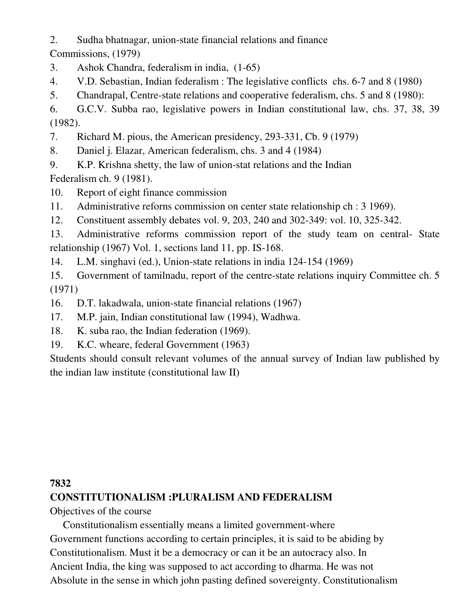2. Sudha bhatnagar, union-state financial relations and finance

Commissions, (1979)

- 3. Ashok Chandra, federalism in india, (1-65)
- 4. V.D. Sebastian, Indian federalism : The legislative conflicts chs. 6-7 and 8 (1980)
- 5. Chandrapal, Centre-state relations and cooperative federalism, chs. 5 and 8 (1980):

6. G.C.V. Subba rao, legislative powers in Indian constitutional law, chs. 37, 38, 39 (1982).

7. Richard M. pious, the American presidency, 293-331, Cb. 9 (1979)

- 8. Daniel j. Elazar, American federalism, chs. 3 and 4 (1984)
- 9. K.P. Krishna shetty, the law of union-stat relations and the Indian

Federalism ch. 9 (1981).

- 10. Report of eight finance commission
- 11. Administrative reforns commission on center state relationship ch : 3 1969).
- 12. Constituent assembly debates vol. 9, 203, 240 and 302-349: vol. 10, 325-342.

13. Administrative reforms commission report of the study team on central- State relationship (1967) Vol. 1, sections land 11, pp. IS-168.

14. L.M. singhavi (ed.), Union-state relations in india 124-154 (1969)

15. Government of tamilnadu, report of the centre-state relations inquiry Committee ch. 5 (1971)

- 16. D.T. lakadwala, union-state financial relations (1967)
- 17. M.P. jain, Indian constitutional law (1994), Wadhwa.
- 18. K. suba rao, the Indian federation (1969).
- 19. K.C. wheare, federal Government (1963)

Students should consult relevant volumes of the annual survey of Indian law published by the indian law institute (constitutional law II)

# **7832 CONSTITUTIONALISM :PLURALISM AND FEDERALISM**

Objectives of the course

 Constitutionalism essentially means a limited government-where Government functions according to certain principles, it is said to be abiding by Constitutionalism. Must it be a democracy or can it be an autocracy also. In Ancient India, the king was supposed to act according to dharma. He was not Absolute in the sense in which john pasting defined sovereignty. Constitutionalism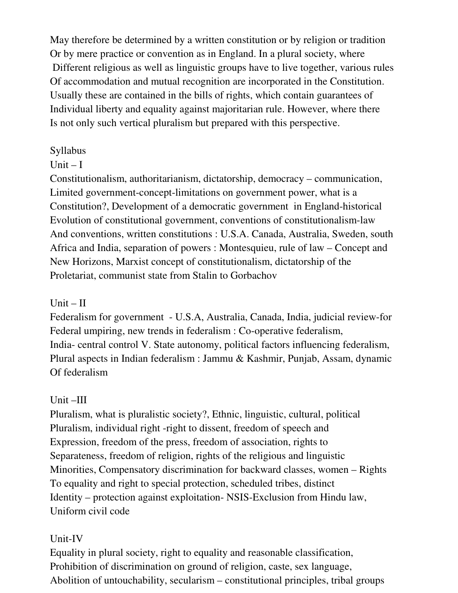May therefore be determined by a written constitution or by religion or tradition Or by mere practice or convention as in England. In a plural society, where Different religious as well as linguistic groups have to live together, various rules Of accommodation and mutual recognition are incorporated in the Constitution. Usually these are contained in the bills of rights, which contain guarantees of Individual liberty and equality against majoritarian rule. However, where there Is not only such vertical pluralism but prepared with this perspective.

#### Syllabus

#### Unit  $-I$

Constitutionalism, authoritarianism, dictatorship, democracy – communication, Limited government-concept-limitations on government power, what is a Constitution?, Development of a democratic government in England-historical Evolution of constitutional government, conventions of constitutionalism-law And conventions, written constitutions : U.S.A. Canada, Australia, Sweden, south Africa and India, separation of powers : Montesquieu, rule of law – Concept and New Horizons, Marxist concept of constitutionalism, dictatorship of the Proletariat, communist state from Stalin to Gorbachov

#### $Unit - II$

Federalism for government - U.S.A, Australia, Canada, India, judicial review-for Federal umpiring, new trends in federalism : Co-operative federalism, India- central control V. State autonomy, political factors influencing federalism, Plural aspects in Indian federalism : Jammu & Kashmir, Punjab, Assam, dynamic Of federalism

## Unit –III

Pluralism, what is pluralistic society?, Ethnic, linguistic, cultural, political Pluralism, individual right -right to dissent, freedom of speech and Expression, freedom of the press, freedom of association, rights to Separateness, freedom of religion, rights of the religious and linguistic Minorities, Compensatory discrimination for backward classes, women – Rights To equality and right to special protection, scheduled tribes, distinct Identity – protection against exploitation- NSIS-Exclusion from Hindu law, Uniform civil code

# Unit-IV

Equality in plural society, right to equality and reasonable classification, Prohibition of discrimination on ground of religion, caste, sex language, Abolition of untouchability, secularism – constitutional principles, tribal groups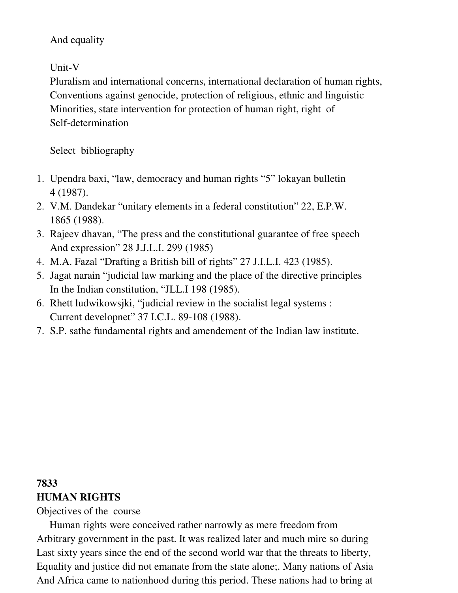#### And equality

Unit-V

Pluralism and international concerns, international declaration of human rights, Conventions against genocide, protection of religious, ethnic and linguistic Minorities, state intervention for protection of human right, right of Self-determination

Select bibliography

- 1. Upendra baxi, "law, democracy and human rights "5" lokayan bulletin 4 (1987).
- 2. V.M. Dandekar "unitary elements in a federal constitution" 22, E.P.W. 1865 (1988).
- 3. Rajeev dhavan, "The press and the constitutional guarantee of free speech And expression" 28 J.J.L.I. 299 (1985)
- 4. M.A. Fazal "Drafting a British bill of rights" 27 J.I.L.I. 423 (1985).
- 5. Jagat narain "judicial law marking and the place of the directive principles In the Indian constitution, "JLL.I 198 (1985).
- 6. Rhett ludwikowsjki, "judicial review in the socialist legal systems : Current developnet" 37 I.C.L. 89-108 (1988).
- 7. S.P. sathe fundamental rights and amendement of the Indian law institute.

# **7833**

# **HUMAN RIGHTS**

Objectives of the course

 Human rights were conceived rather narrowly as mere freedom from Arbitrary government in the past. It was realized later and much mire so during Last sixty years since the end of the second world war that the threats to liberty, Equality and justice did not emanate from the state alone;. Many nations of Asia And Africa came to nationhood during this period. These nations had to bring at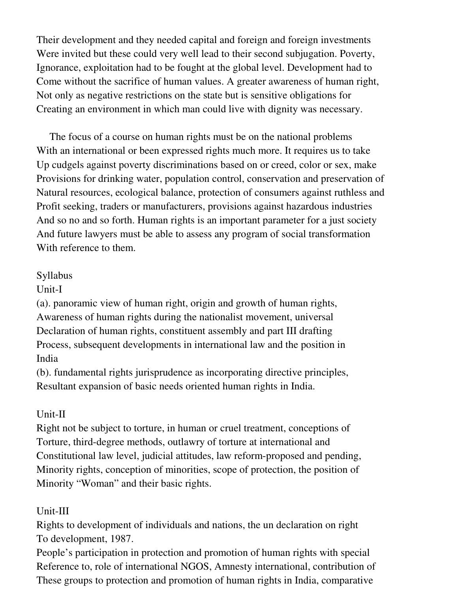Their development and they needed capital and foreign and foreign investments Were invited but these could very well lead to their second subjugation. Poverty, Ignorance, exploitation had to be fought at the global level. Development had to Come without the sacrifice of human values. A greater awareness of human right, Not only as negative restrictions on the state but is sensitive obligations for Creating an environment in which man could live with dignity was necessary.

 The focus of a course on human rights must be on the national problems With an international or been expressed rights much more. It requires us to take Up cudgels against poverty discriminations based on or creed, color or sex, make Provisions for drinking water, population control, conservation and preservation of Natural resources, ecological balance, protection of consumers against ruthless and Profit seeking, traders or manufacturers, provisions against hazardous industries And so no and so forth. Human rights is an important parameter for a just society And future lawyers must be able to assess any program of social transformation With reference to them.

#### Syllabus

Unit-I

(a). panoramic view of human right, origin and growth of human rights, Awareness of human rights during the nationalist movement, universal Declaration of human rights, constituent assembly and part III drafting Process, subsequent developments in international law and the position in India

(b). fundamental rights jurisprudence as incorporating directive principles, Resultant expansion of basic needs oriented human rights in India.

## Unit-II

Right not be subject to torture, in human or cruel treatment, conceptions of Torture, third-degree methods, outlawry of torture at international and Constitutional law level, judicial attitudes, law reform-proposed and pending, Minority rights, conception of minorities, scope of protection, the position of Minority "Woman" and their basic rights.

# Unit-III

Rights to development of individuals and nations, the un declaration on right To development, 1987.

People's participation in protection and promotion of human rights with special Reference to, role of international NGOS, Amnesty international, contribution of These groups to protection and promotion of human rights in India, comparative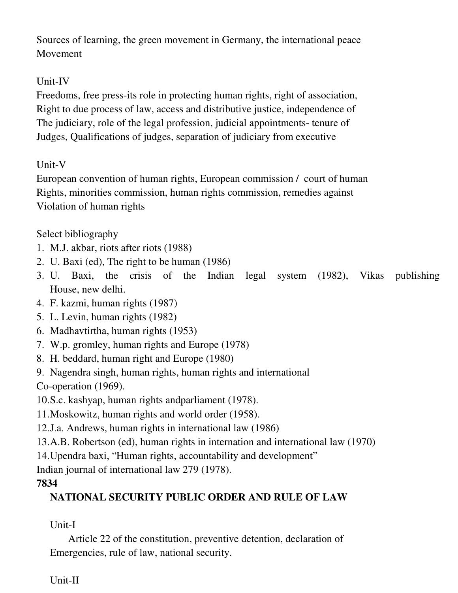Sources of learning, the green movement in Germany, the international peace Movement

# Unit-IV

Freedoms, free press-its role in protecting human rights, right of association, Right to due process of law, access and distributive justice, independence of The judiciary, role of the legal profession, judicial appointments- tenure of Judges, Qualifications of judges, separation of judiciary from executive

#### Unit-V

European convention of human rights, European commission / court of human Rights, minorities commission, human rights commission, remedies against Violation of human rights

Select bibliography

- 1. M.J. akbar, riots after riots (1988)
- 2. U. Baxi (ed), The right to be human (1986)
- 3. U. Baxi, the crisis of the Indian legal system (1982), Vikas publishing House, new delhi.
- 4. F. kazmi, human rights (1987)
- 5. L. Levin, human rights (1982)
- 6. Madhavtirtha, human rights (1953)
- 7. W.p. gromley, human rights and Europe (1978)
- 8. H. beddard, human right and Europe (1980)
- 9. Nagendra singh, human rights, human rights and international

Co-operation (1969).

10.S.c. kashyap, human rights andparliament (1978).

11.Moskowitz, human rights and world order (1958).

12.J.a. Andrews, human rights in international law (1986)

13.A.B. Robertson (ed), human rights in internation and international law (1970)

14.Upendra baxi, "Human rights, accountability and development"

Indian journal of international law 279 (1978).

## **7834**

# **NATIONAL SECURITY PUBLIC ORDER AND RULE OF LAW**

# Unit-I

 Article 22 of the constitution, preventive detention, declaration of Emergencies, rule of law, national security.

## Unit-II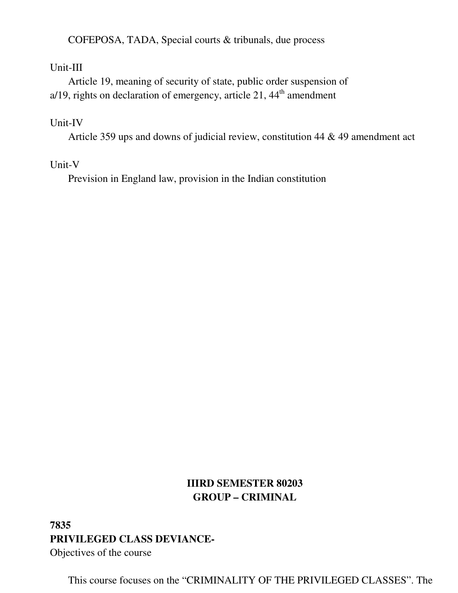COFEPOSA, TADA, Special courts & tribunals, due process

#### Unit-III

 Article 19, meaning of security of state, public order suspension of  $a/19$ , rights on declaration of emergency, article 21,  $44<sup>th</sup>$  amendment

#### Unit-IV

Article 359 ups and downs of judicial review, constitution 44 & 49 amendment act

#### Unit-V

Prevision in England law, provision in the Indian constitution

# **IIIRD SEMESTER 80203 GROUP – CRIMINAL**

# **7835 PRIVILEGED CLASS DEVIANCE-**Objectives of the course

This course focuses on the "CRIMINALITY OF THE PRIVILEGED CLASSES". The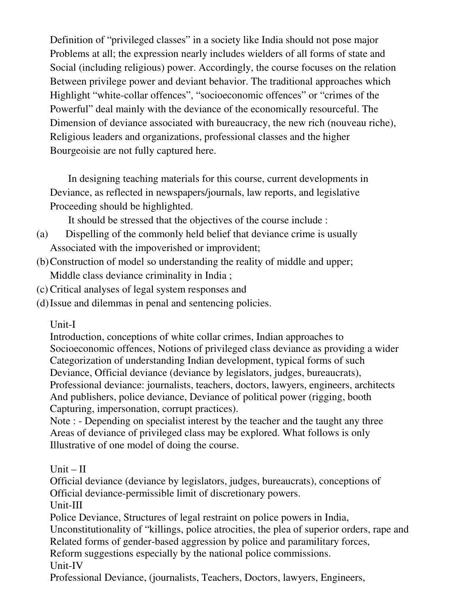Definition of "privileged classes" in a society like India should not pose major Problems at all; the expression nearly includes wielders of all forms of state and Social (including religious) power. Accordingly, the course focuses on the relation Between privilege power and deviant behavior. The traditional approaches which Highlight "white-collar offences", "socioeconomic offences" or "crimes of the Powerful" deal mainly with the deviance of the economically resourceful. The Dimension of deviance associated with bureaucracy, the new rich (nouveau riche), Religious leaders and organizations, professional classes and the higher Bourgeoisie are not fully captured here.

 In designing teaching materials for this course, current developments in Deviance, as reflected in newspapers/journals, law reports, and legislative Proceeding should be highlighted.

It should be stressed that the objectives of the course include :

- (a) Dispelling of the commonly held belief that deviance crime is usually Associated with the impoverished or improvident;
- (b)Construction of model so understanding the reality of middle and upper; Middle class deviance criminality in India ;
- (c) Critical analyses of legal system responses and
- (d)Issue and dilemmas in penal and sentencing policies.

Unit-I

Introduction, conceptions of white collar crimes, Indian approaches to Socioeconomic offences, Notions of privileged class deviance as providing a wider Categorization of understanding Indian development, typical forms of such Deviance, Official deviance (deviance by legislators, judges, bureaucrats), Professional deviance: journalists, teachers, doctors, lawyers, engineers, architects And publishers, police deviance, Deviance of political power (rigging, booth Capturing, impersonation, corrupt practices).

Note : - Depending on specialist interest by the teacher and the taught any three Areas of deviance of privileged class may be explored. What follows is only Illustrative of one model of doing the course.

 $Unit - II$ 

Official deviance (deviance by legislators, judges, bureaucrats), conceptions of Official deviance-permissible limit of discretionary powers.

Unit-III

Police Deviance, Structures of legal restraint on police powers in India,

Unconstitutionality of "killings, police atrocities, the plea of superior orders, rape and Related forms of gender-based aggression by police and paramilitary forces,

Reform suggestions especially by the national police commissions.

Unit-IV

Professional Deviance, (journalists, Teachers, Doctors, lawyers, Engineers,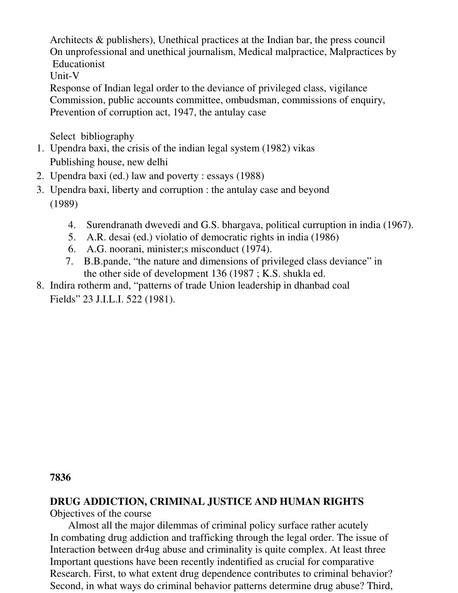Architects & publishers), Unethical practices at the Indian bar, the press council On unprofessional and unethical journalism, Medical malpractice, Malpractices by Educationist

Unit-V

Response of Indian legal order to the deviance of privileged class, vigilance Commission, public accounts committee, ombudsman, commissions of enquiry, Prevention of corruption act, 1947, the antulay case

Select bibliography

- 1. Upendra baxi, the crisis of the indian legal system (1982) vikas Publishing house, new delhi
- 2. Upendra baxi (ed.) law and poverty : essays (1988)
- 3. Upendra baxi, liberty and corruption : the antulay case and beyond (1989)
	- 4. Surendranath dwevedi and G.S. bhargava, political curruption in india (1967).
	- 5. A.R. desai (ed.) violatio of democratic rights in india (1986)
	- 6. A.G. noorani, minister;s misconduct (1974).
	- 7. B.B.pande, "the nature and dimensions of privileged class deviance" in the other side of development 136 (1987 ; K.S. shukla ed.
- 8. Indira rotherm and, "patterns of trade Union leadership in dhanbad coal Fields" 23 J.I.L.I. 522 (1981).

**7836** 

# **DRUG ADDICTION, CRIMINAL JUSTICE AND HUMAN RIGHTS**

Objectives of the course

 Almost all the major dilemmas of criminal policy surface rather acutely In combating drug addiction and trafficking through the legal order. The issue of Interaction between dr4ug abuse and criminality is quite complex. At least three Important questions have been recently indentified as crucial for comparative Research. First, to what extent drug dependence contributes to criminal behavior? Second, in what ways do criminal behavior patterns determine drug abuse? Third,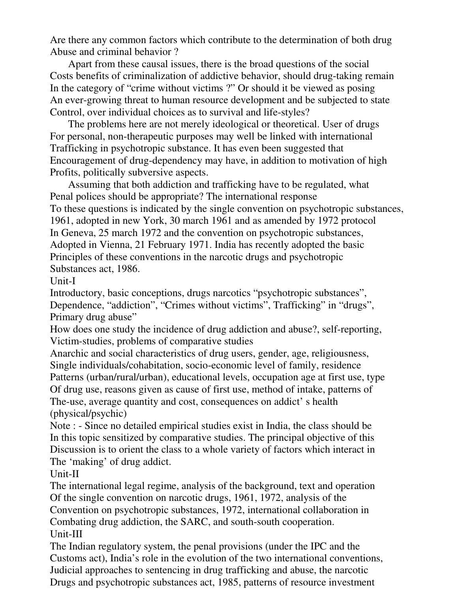Are there any common factors which contribute to the determination of both drug Abuse and criminal behavior ?

 Apart from these causal issues, there is the broad questions of the social Costs benefits of criminalization of addictive behavior, should drug-taking remain In the category of "crime without victims ?" Or should it be viewed as posing An ever-growing threat to human resource development and be subjected to state Control, over individual choices as to survival and life-styles?

 The problems here are not merely ideological or theoretical. User of drugs For personal, non-therapeutic purposes may well be linked with international Trafficking in psychotropic substance. It has even been suggested that Encouragement of drug-dependency may have, in addition to motivation of high Profits, politically subversive aspects.

 Assuming that both addiction and trafficking have to be regulated, what Penal polices should be appropriate? The international response To these questions is indicated by the single convention on psychotropic substances, 1961, adopted in new York, 30 march 1961 and as amended by 1972 protocol In Geneva, 25 march 1972 and the convention on psychotropic substances, Adopted in Vienna, 21 February 1971. India has recently adopted the basic Principles of these conventions in the narcotic drugs and psychotropic Substances act, 1986.

Unit-I

Introductory, basic conceptions, drugs narcotics "psychotropic substances", Dependence, "addiction", "Crimes without victims", Trafficking" in "drugs", Primary drug abuse"

How does one study the incidence of drug addiction and abuse?, self-reporting, Victim-studies, problems of comparative studies

Anarchic and social characteristics of drug users, gender, age, religiousness, Single individuals/cohabitation, socio-economic level of family, residence Patterns (urban/rural/urban), educational levels, occupation age at first use, type Of drug use, reasons given as cause of first use, method of intake, patterns of The-use, average quantity and cost, consequences on addict' s health (physical/psychic)

Note : - Since no detailed empirical studies exist in India, the class should be In this topic sensitized by comparative studies. The principal objective of this Discussion is to orient the class to a whole variety of factors which interact in The 'making' of drug addict.

Unit-II

The international legal regime, analysis of the background, text and operation Of the single convention on narcotic drugs, 1961, 1972, analysis of the Convention on psychotropic substances, 1972, international collaboration in Combating drug addiction, the SARC, and south-south cooperation. Unit-III

The Indian regulatory system, the penal provisions (under the IPC and the Customs act), India's role in the evolution of the two international conventions, Judicial approaches to sentencing in drug trafficking and abuse, the narcotic Drugs and psychotropic substances act, 1985, patterns of resource investment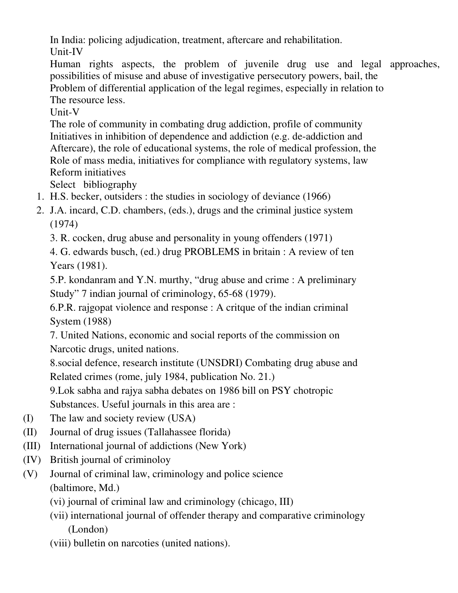In India: policing adjudication, treatment, aftercare and rehabilitation. Unit-IV

Human rights aspects, the problem of juvenile drug use and legal approaches, possibilities of misuse and abuse of investigative persecutory powers, bail, the Problem of differential application of the legal regimes, especially in relation to The resource less.

Unit-V

The role of community in combating drug addiction, profile of community Initiatives in inhibition of dependence and addiction (e.g. de-addiction and Aftercare), the role of educational systems, the role of medical profession, the Role of mass media, initiatives for compliance with regulatory systems, law Reform initiatives

Select bibliography

- 1. H.S. becker, outsiders : the studies in sociology of deviance (1966)
- 2. J.A. incard, C.D. chambers, (eds.), drugs and the criminal justice system (1974)

3. R. cocken, drug abuse and personality in young offenders (1971)

4. G. edwards busch, (ed.) drug PROBLEMS in britain : A review of ten Years (1981).

5.P. kondanram and Y.N. murthy, "drug abuse and crime : A preliminary Study" 7 indian journal of criminology, 65-68 (1979).

6.P.R. rajgopat violence and response : A critque of the indian criminal System (1988)

7. United Nations, economic and social reports of the commission on Narcotic drugs, united nations.

8.social defence, research institute (UNSDRI) Combating drug abuse and Related crimes (rome, july 1984, publication No. 21.)

9.Lok sabha and rajya sabha debates on 1986 bill on PSY chotropic Substances. Useful journals in this area are :

- (I) The law and society review (USA)
- (II) Journal of drug issues (Tallahassee florida)
- (III) International journal of addictions (New York)
- (IV) British journal of criminoloy
- (V) Journal of criminal law, criminology and police science (baltimore, Md.)
	- (vi) journal of criminal law and criminology (chicago, III)
	- (vii) international journal of offender therapy and comparative criminology (London)
	- (viii) bulletin on narcoties (united nations).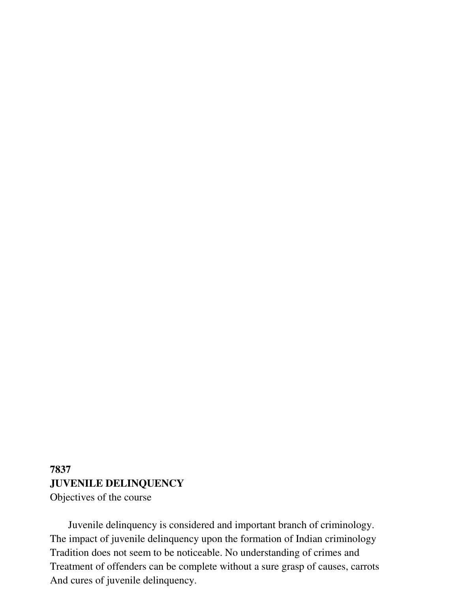## **7837 JUVENILE DELINQUENCY**  Objectives of the course

 Juvenile delinquency is considered and important branch of criminology. The impact of juvenile delinquency upon the formation of Indian criminology Tradition does not seem to be noticeable. No understanding of crimes and Treatment of offenders can be complete without a sure grasp of causes, carrots And cures of juvenile delinquency.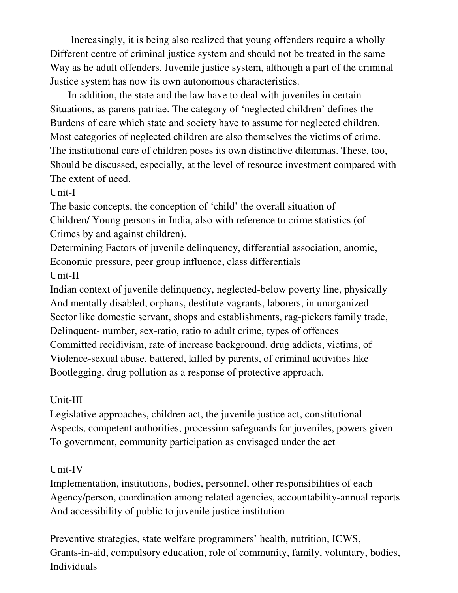Increasingly, it is being also realized that young offenders require a wholly Different centre of criminal justice system and should not be treated in the same Way as he adult offenders. Juvenile justice system, although a part of the criminal Justice system has now its own autonomous characteristics.

 In addition, the state and the law have to deal with juveniles in certain Situations, as parens patriae. The category of 'neglected children' defines the Burdens of care which state and society have to assume for neglected children. Most categories of neglected children are also themselves the victims of crime. The institutional care of children poses its own distinctive dilemmas. These, too, Should be discussed, especially, at the level of resource investment compared with The extent of need.

Unit-I

The basic concepts, the conception of 'child' the overall situation of Children/ Young persons in India, also with reference to crime statistics (of Crimes by and against children).

Determining Factors of juvenile delinquency, differential association, anomie, Economic pressure, peer group influence, class differentials Unit-II

Indian context of juvenile delinquency, neglected-below poverty line, physically And mentally disabled, orphans, destitute vagrants, laborers, in unorganized Sector like domestic servant, shops and establishments, rag-pickers family trade, Delinquent- number, sex-ratio, ratio to adult crime, types of offences Committed recidivism, rate of increase background, drug addicts, victims, of Violence-sexual abuse, battered, killed by parents, of criminal activities like Bootlegging, drug pollution as a response of protective approach.

## Unit-III

Legislative approaches, children act, the juvenile justice act, constitutional Aspects, competent authorities, procession safeguards for juveniles, powers given To government, community participation as envisaged under the act

## Unit-IV

Implementation, institutions, bodies, personnel, other responsibilities of each Agency/person, coordination among related agencies, accountability-annual reports And accessibility of public to juvenile justice institution

Preventive strategies, state welfare programmers' health, nutrition, ICWS, Grants-in-aid, compulsory education, role of community, family, voluntary, bodies, Individuals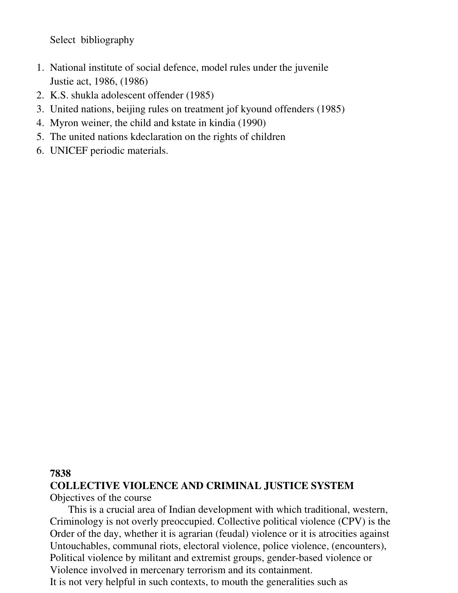Select bibliography

- 1. National institute of social defence, model rules under the juvenile Justie act, 1986, (1986)
- 2. K.S. shukla adolescent offender (1985)
- 3. United nations, beijing rules on treatment jof kyound offenders (1985)
- 4. Myron weiner, the child and kstate in kindia (1990)
- 5. The united nations kdeclaration on the rights of children
- 6. UNICEF periodic materials.

#### **7838**

#### **COLLECTIVE VIOLENCE AND CRIMINAL JUSTICE SYSTEM**  Objectives of the course

 This is a crucial area of Indian development with which traditional, western, Criminology is not overly preoccupied. Collective political violence (CPV) is the Order of the day, whether it is agrarian (feudal) violence or it is atrocities against Untouchables, communal riots, electoral violence, police violence, (encounters), Political violence by militant and extremist groups, gender-based violence or Violence involved in mercenary terrorism and its containment. It is not very helpful in such contexts, to mouth the generalities such as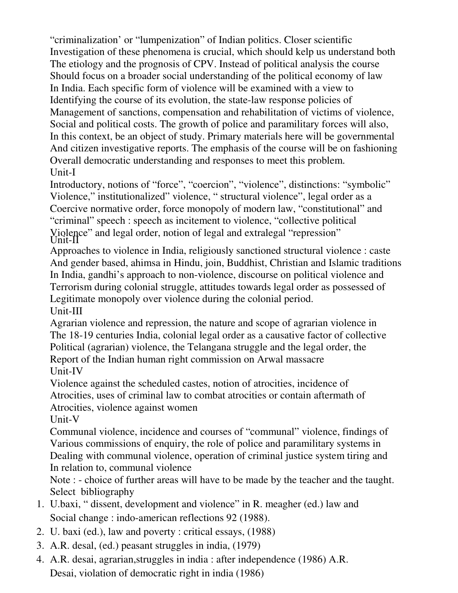"criminalization' or "lumpenization" of Indian politics. Closer scientific Investigation of these phenomena is crucial, which should kelp us understand both The etiology and the prognosis of CPV. Instead of political analysis the course Should focus on a broader social understanding of the political economy of law In India. Each specific form of violence will be examined with a view to Identifying the course of its evolution, the state-law response policies of Management of sanctions, compensation and rehabilitation of victims of violence, Social and political costs. The growth of police and paramilitary forces will also, In this context, be an object of study. Primary materials here will be governmental And citizen investigative reports. The emphasis of the course will be on fashioning Overall democratic understanding and responses to meet this problem. Unit-I

Introductory, notions of "force", "coercion", "violence", distinctions: "symbolic" Violence," institutionalized" violence, " structural violence", legal order as a Coercive normative order, force monopoly of modern law, "constitutional" and "criminal" speech : speech as incitement to violence, "collective political Violence" and legal order, notion of legal and extralegal "repression" Unit-II

Approaches to violence in India, religiously sanctioned structural violence : caste And gender based, ahimsa in Hindu, join, Buddhist, Christian and Islamic traditions In India, gandhi's approach to non-violence, discourse on political violence and Terrorism during colonial struggle, attitudes towards legal order as possessed of Legitimate monopoly over violence during the colonial period. Unit-III

Agrarian violence and repression, the nature and scope of agrarian violence in The 18-19 centuries India, colonial legal order as a causative factor of collective Political (agrarian) violence, the Telangana struggle and the legal order, the Report of the Indian human right commission on Arwal massacre Unit-IV

Violence against the scheduled castes, notion of atrocities, incidence of Atrocities, uses of criminal law to combat atrocities or contain aftermath of Atrocities, violence against women

Unit-V

Communal violence, incidence and courses of "communal" violence, findings of Various commissions of enquiry, the role of police and paramilitary systems in Dealing with communal violence, operation of criminal justice system tiring and In relation to, communal violence

Note : - choice of further areas will have to be made by the teacher and the taught. Select bibliography

- 1. U.baxi, " dissent, development and violence" in R. meagher (ed.) law and Social change : indo-american reflections 92 (1988).
- 2. U. baxi (ed.), law and poverty : critical essays, (1988)
- 3. A.R. desal, (ed.) peasant struggles in india, (1979)
- 4. A.R. desai, agrarian,struggles in india : after independence (1986) A.R. Desai, violation of democratic right in india (1986)